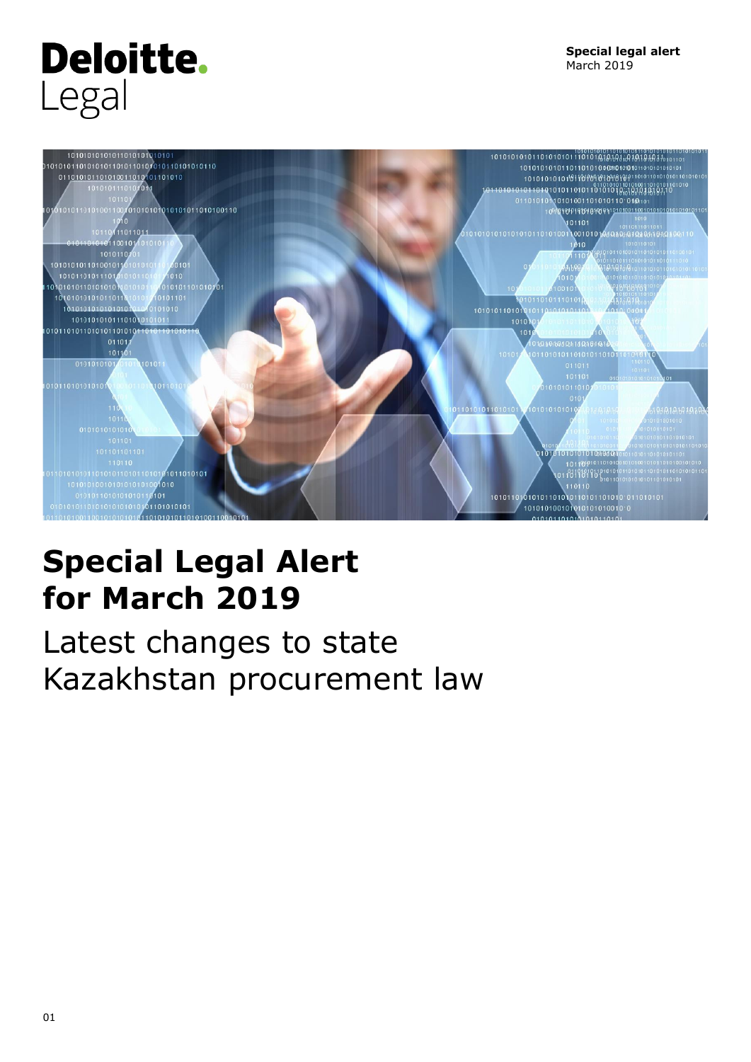# **Deloitte.** Legal



## **Special Legal Alert for March 2019**

Latest changes to state Kazakhstan procurement law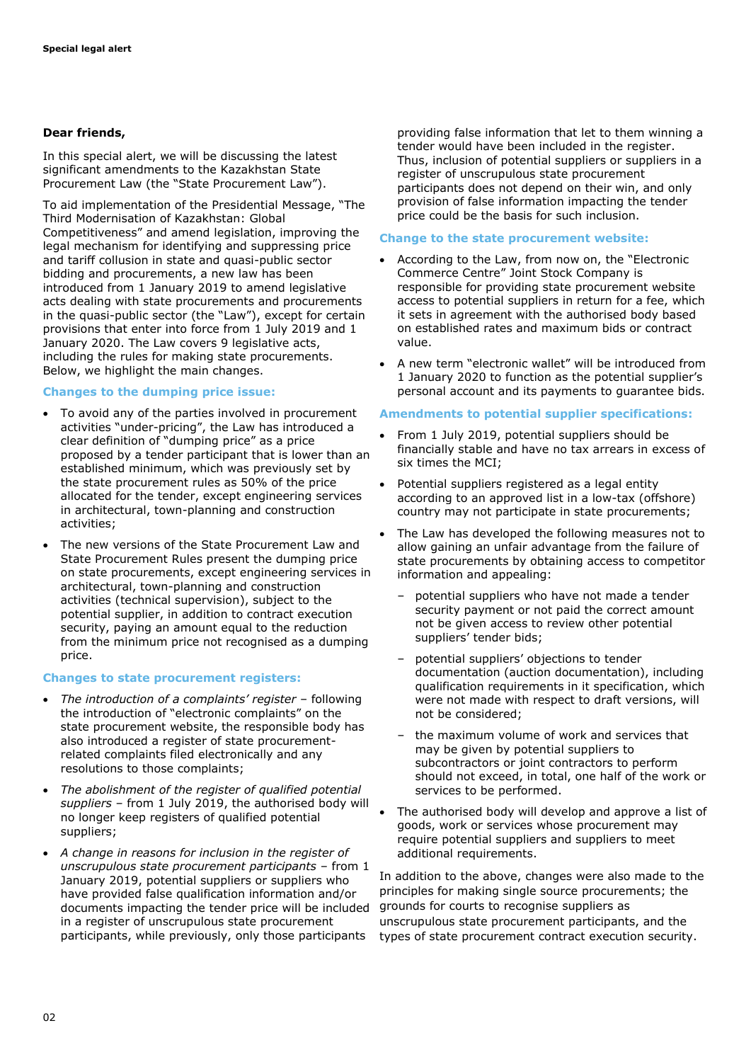#### **Dear friends,**

In this special alert, we will be discussing the latest significant amendments to the Kazakhstan State Procurement Law (the "State Procurement Law").

To aid implementation of the Presidential Message, "The Third Modernisation of Kazakhstan: Global Competitiveness" and amend legislation, improving the legal mechanism for identifying and suppressing price and tariff collusion in state and quasi-public sector bidding and procurements, a new law has been introduced from 1 January 2019 to amend legislative acts dealing with state procurements and procurements in the quasi-public sector (the "Law"), except for certain provisions that enter into force from 1 July 2019 and 1 January 2020. The Law covers 9 legislative acts, including the rules for making state procurements. Below, we highlight the main changes.

#### **Changes to the dumping price issue:**

- To avoid any of the parties involved in procurement activities "under-pricing", the Law has introduced a clear definition of "dumping price" as a price proposed by a tender participant that is lower than an established minimum, which was previously set by the state procurement rules as 50% of the price allocated for the tender, except engineering services in architectural, town-planning and construction activities;
- The new versions of the State Procurement Law and State Procurement Rules present the dumping price on state procurements, except engineering services in architectural, town-planning and construction activities (technical supervision), subject to the potential supplier, in addition to contract execution security, paying an amount equal to the reduction from the minimum price not recognised as a dumping price.

#### **Changes to state procurement registers:**

- *The introduction of a complaints' register* following the introduction of "electronic complaints" on the state procurement website, the responsible body has also introduced a register of state procurementrelated complaints filed electronically and any resolutions to those complaints;
- *The abolishment of the register of qualified potential suppliers* – from 1 July 2019, the authorised body will no longer keep registers of qualified potential suppliers;
- *A change in reasons for inclusion in the register of unscrupulous state procurement participants* – from 1 January 2019, potential suppliers or suppliers who have provided false qualification information and/or documents impacting the tender price will be included in a register of unscrupulous state procurement participants, while previously, only those participants

providing false information that let to them winning a tender would have been included in the register. Thus, inclusion of potential suppliers or suppliers in a register of unscrupulous state procurement participants does not depend on their win, and only provision of false information impacting the tender price could be the basis for such inclusion.

#### **Change to the state procurement website:**

- According to the Law, from now on, the "Electronic Commerce Centre" Joint Stock Company is responsible for providing state procurement website access to potential suppliers in return for a fee, which it sets in agreement with the authorised body based on established rates and maximum bids or contract value.
- A new term "electronic wallet" will be introduced from 1 January 2020 to function as the potential supplier's personal account and its payments to guarantee bids.

#### **Amendments to potential supplier specifications:**

- From 1 July 2019, potential suppliers should be financially stable and have no tax arrears in excess of six times the MCI;
- Potential suppliers registered as a legal entity according to an approved list in a low-tax (offshore) country may not participate in state procurements;
- The Law has developed the following measures not to allow gaining an unfair advantage from the failure of state procurements by obtaining access to competitor information and appealing:
	- potential suppliers who have not made a tender security payment or not paid the correct amount not be given access to review other potential suppliers' tender bids;
	- potential suppliers' objections to tender documentation (auction documentation), including qualification requirements in it specification, which were not made with respect to draft versions, will not be considered;
	- the maximum volume of work and services that may be given by potential suppliers to subcontractors or joint contractors to perform should not exceed, in total, one half of the work or services to be performed.
- The authorised body will develop and approve a list of goods, work or services whose procurement may require potential suppliers and suppliers to meet additional requirements.

In addition to the above, changes were also made to the principles for making single source procurements; the grounds for courts to recognise suppliers as unscrupulous state procurement participants, and the types of state procurement contract execution security.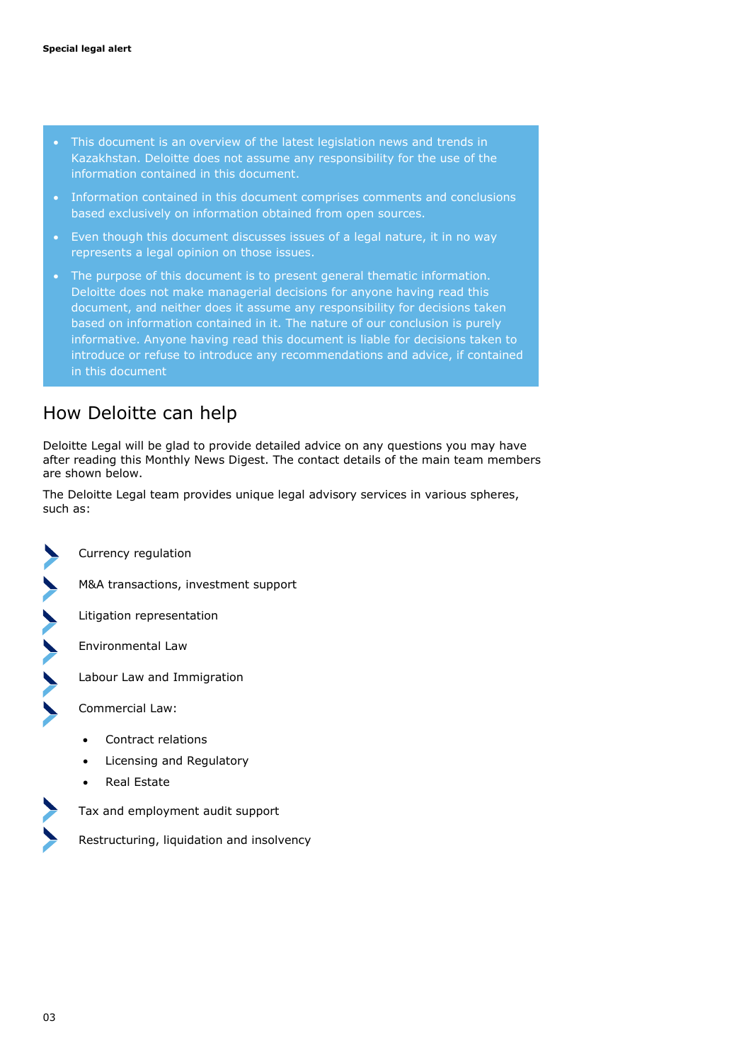- This document is an overview of the latest legislation news and trends in Kazakhstan. Deloitte does not assume any responsibility for the use of the information contained in this document.
- Information contained in this document comprises comments and conclusions based exclusively on information obtained from open sources.
- Even though this document discusses issues of a legal nature, it in no way represents a legal opinion on those issues.
- The purpose of this document is to present general thematic information. Deloitte does not make managerial decisions for anyone having read this document, and neither does it assume any responsibility for decisions taken based on information contained in it. The nature of our conclusion is purely informative. Anyone having read this document is liable for decisions taken to introduce or refuse to introduce any recommendations and advice, if contained in this document

## How Deloitte can help

Deloitte Legal will be glad to provide detailed advice on any questions you may have after reading this Monthly News Digest. The contact details of the main team members are shown below.

The Deloitte Legal team provides unique legal advisory services in various spheres, such as:

Currency regulation



M&A transactions, investment support

Litigation representation

Environmental Law

Labour Law and Immigration

Commercial Law:

- Contract relations
- Licensing and Regulatory
- Real Estate



Tax and employment audit support

Restructuring, liquidation and insolvency